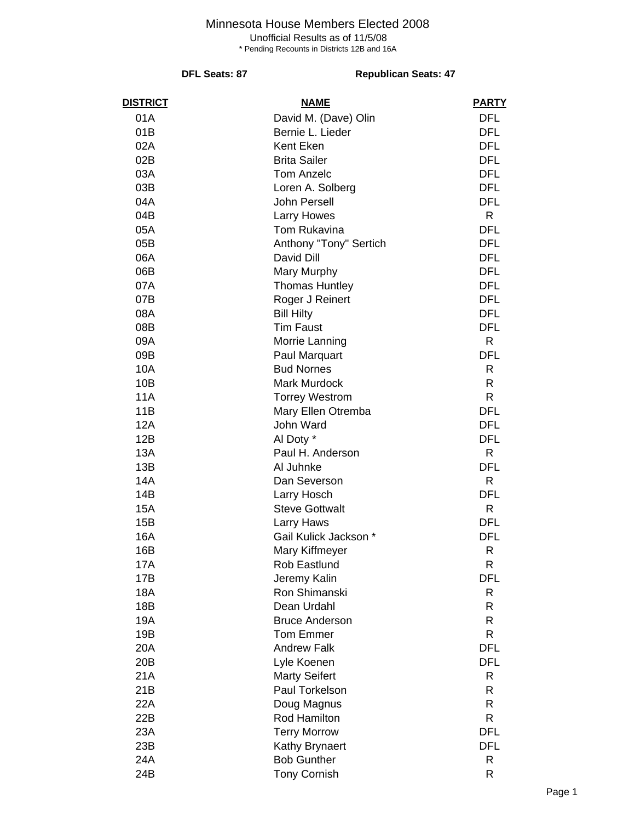# Minnesota House Members Elected 2008

Unofficial Results as of 11/5/08

\* Pending Recounts in Districts 12B and 16A

### **DFL Seats: 87** Republican Seats: 47

| <b>DISTRICT</b> | <b>NAME</b>            | <b>PARTY</b> |
|-----------------|------------------------|--------------|
| 01A             | David M. (Dave) Olin   | <b>DFL</b>   |
| 01B             | Bernie L. Lieder       | <b>DFL</b>   |
| 02A             | Kent Eken              | <b>DFL</b>   |
| 02B             | <b>Brita Sailer</b>    | <b>DFL</b>   |
| 03A             | <b>Tom Anzelc</b>      | <b>DFL</b>   |
| 03B             | Loren A. Solberg       | <b>DFL</b>   |
| 04A             | <b>John Persell</b>    | <b>DFL</b>   |
| 04B             | <b>Larry Howes</b>     | R            |
| 05A             | Tom Rukavina           | <b>DFL</b>   |
| 05B             | Anthony "Tony" Sertich | <b>DFL</b>   |
| 06A             | David Dill             | <b>DFL</b>   |
| 06B             | Mary Murphy            | <b>DFL</b>   |
| 07A             | <b>Thomas Huntley</b>  | <b>DFL</b>   |
| 07B             | Roger J Reinert        | <b>DFL</b>   |
| 08A             | <b>Bill Hilty</b>      | <b>DFL</b>   |
| 08B             | <b>Tim Faust</b>       | <b>DFL</b>   |
| 09A             | Morrie Lanning         | R            |
| 09B             | Paul Marquart          | <b>DFL</b>   |
| 10A             | <b>Bud Nornes</b>      | R            |
| 10B             | <b>Mark Murdock</b>    | R            |
| <b>11A</b>      | <b>Torrey Westrom</b>  | R            |
| 11B             | Mary Ellen Otremba     | <b>DFL</b>   |
| 12A             | John Ward              | <b>DFL</b>   |
| 12B             | Al Doty *              | <b>DFL</b>   |
| 13A             | Paul H. Anderson       | R            |
| 13B             | Al Juhnke              | <b>DFL</b>   |
| 14A             | Dan Severson           | R            |
| 14B             | Larry Hosch            | <b>DFL</b>   |
| 15A             | <b>Steve Gottwalt</b>  | R            |
| 15B             | Larry Haws             | <b>DFL</b>   |
| 16A             | Gail Kulick Jackson *  | <b>DFL</b>   |
| 16B             | Mary Kiffmeyer         | R            |
| 17A             | Rob Eastlund           | R            |
| 17B             | Jeremy Kalin           | <b>DFL</b>   |
| 18A             | Ron Shimanski          | R            |
| 18B             | Dean Urdahl            | R            |
| 19A             | <b>Bruce Anderson</b>  | R            |
| 19B             | <b>Tom Emmer</b>       | R            |
| 20A             | <b>Andrew Falk</b>     | <b>DFL</b>   |
| 20B             | Lyle Koenen            | <b>DFL</b>   |
| 21A             | <b>Marty Seifert</b>   | R            |
| 21B             | Paul Torkelson         | R            |
| 22A             | Doug Magnus            | R            |
| 22B             | Rod Hamilton           | R            |
| 23A             | <b>Terry Morrow</b>    | <b>DFL</b>   |
| 23B             | Kathy Brynaert         | <b>DFL</b>   |
| 24A             | <b>Bob Gunther</b>     | R            |
| 24B             | <b>Tony Cornish</b>    | R            |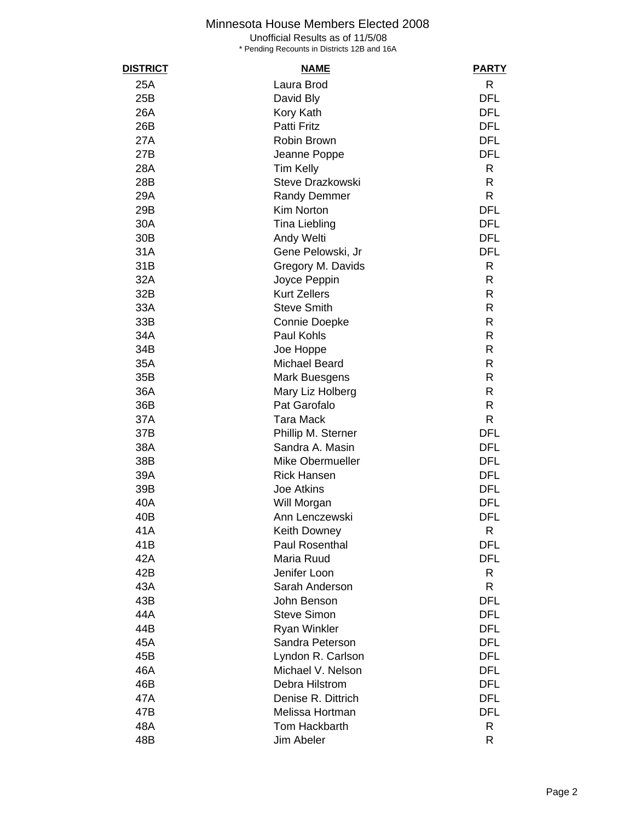# Minnesota House Members Elected 2008

Unofficial Results as of 11/5/08

\* Pending Recounts in Districts 12B and 16A

| <b>DISTRICT</b> | <b>NAME</b>           | <b>PARTY</b> |
|-----------------|-----------------------|--------------|
| 25A             | Laura Brod            | $\mathsf{R}$ |
| 25B             | David Bly             | <b>DFL</b>   |
| 26A             | Kory Kath             | <b>DFL</b>   |
| 26B             | Patti Fritz           | <b>DFL</b>   |
| 27A             | Robin Brown           | <b>DFL</b>   |
| 27B             | Jeanne Poppe          | <b>DFL</b>   |
| 28A             | Tim Kelly             | R            |
| 28B             | Steve Drazkowski      | $\mathsf{R}$ |
| 29A             | <b>Randy Demmer</b>   | $\mathsf{R}$ |
| 29B             | <b>Kim Norton</b>     | <b>DFL</b>   |
| 30A             | <b>Tina Liebling</b>  | <b>DFL</b>   |
| 30B             | Andy Welti            | <b>DFL</b>   |
| 31A             | Gene Pelowski, Jr     | <b>DFL</b>   |
| 31B             | Gregory M. Davids     | R            |
| 32A             | Joyce Peppin          | R            |
| 32B             | <b>Kurt Zellers</b>   | R            |
| 33A             | <b>Steve Smith</b>    | R            |
| 33B             | Connie Doepke         | R            |
| 34A             | Paul Kohls            | R            |
| 34B             | Joe Hoppe             | R            |
| 35A             | <b>Michael Beard</b>  | R            |
| 35B             | Mark Buesgens         | R            |
| 36A             | Mary Liz Holberg      | R            |
| 36B             | Pat Garofalo          | R            |
| 37A             | <b>Tara Mack</b>      | $\mathsf{R}$ |
| 37B             | Phillip M. Sterner    | <b>DFL</b>   |
| 38A             | Sandra A. Masin       | <b>DFL</b>   |
| 38B             | Mike Obermueller      | <b>DFL</b>   |
| 39A             | <b>Rick Hansen</b>    | <b>DFL</b>   |
| 39B             | <b>Joe Atkins</b>     | <b>DFL</b>   |
| 40A             | Will Morgan           | <b>DFL</b>   |
| 40B             | Ann Lenczewski        | <b>DFL</b>   |
| 41A             | Keith Downey          | R            |
| 41B             | <b>Paul Rosenthal</b> | DFL          |
| 42A             | Maria Ruud            | <b>DFL</b>   |
| 42B             | Jenifer Loon          | R            |
| 43A             | Sarah Anderson        | R            |
| 43B             | John Benson           | <b>DFL</b>   |
| 44A             | <b>Steve Simon</b>    | <b>DFL</b>   |
| 44B             | <b>Ryan Winkler</b>   | <b>DFL</b>   |
| 45A             | Sandra Peterson       | <b>DFL</b>   |
| 45B             | Lyndon R. Carlson     | <b>DFL</b>   |
| 46A             | Michael V. Nelson     | <b>DFL</b>   |
| 46B             | Debra Hilstrom        | <b>DFL</b>   |
| 47A             | Denise R. Dittrich    | <b>DFL</b>   |
| 47B             | Melissa Hortman       | <b>DFL</b>   |
| 48A             | Tom Hackbarth         | R            |
| 48B             | Jim Abeler            | R            |